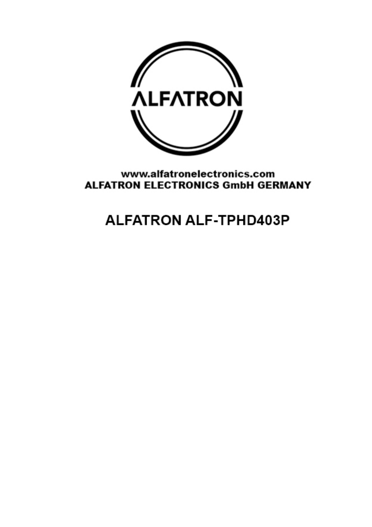

www.alfatronelectronics.com **ALFATRON ELECTRONICS GmbH GERMANY** 

## **ALFATRON ALF-TPHD403P**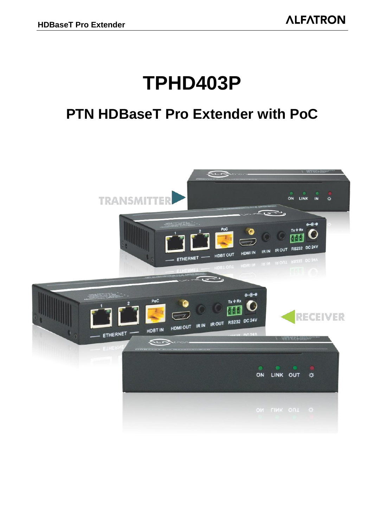# **TPHD403P**

## **PTN HDBaseT Pro Extender with PoC**

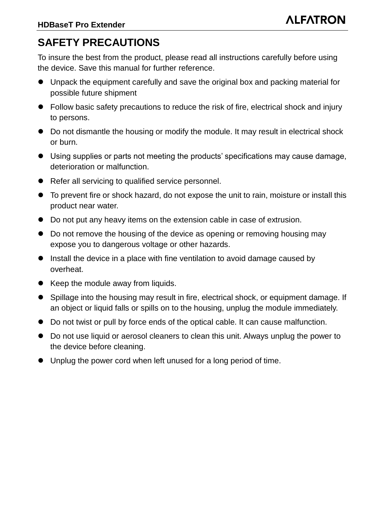## **SAFETY PRECAUTIONS**

To insure the best from the product, please read all instructions carefully before using the device. Save this manual for further reference.

- Unpack the equipment carefully and save the original box and packing material for possible future shipment
- Follow basic safety precautions to reduce the risk of fire, electrical shock and injury to persons.
- Do not dismantle the housing or modify the module. It may result in electrical shock or burn.
- Using supplies or parts not meeting the products' specifications may cause damage, deterioration or malfunction.
- Refer all servicing to qualified service personnel.
- To prevent fire or shock hazard, do not expose the unit to rain, moisture or install this product near water.
- Do not put any heavy items on the extension cable in case of extrusion.
- Do not remove the housing of the device as opening or removing housing may expose you to dangerous voltage or other hazards.
- Install the device in a place with fine ventilation to avoid damage caused by overheat.
- Keep the module away from liquids.
- Spillage into the housing may result in fire, electrical shock, or equipment damage. If an object or liquid falls or spills on to the housing, unplug the module immediately.
- Do not twist or pull by force ends of the optical cable. It can cause malfunction.
- Do not use liquid or aerosol cleaners to clean this unit. Always unplug the power to the device before cleaning.
- Unplug the power cord when left unused for a long period of time.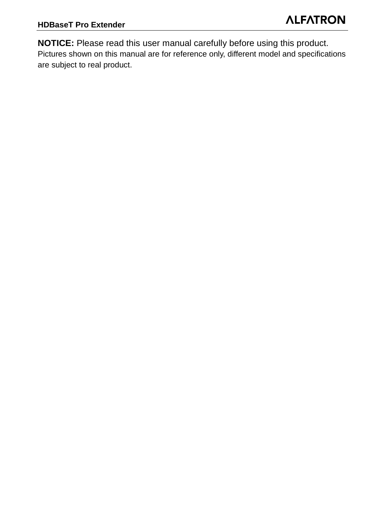**NOTICE:** Please read this user manual carefully before using this product. Pictures shown on this manual are for reference only, different model and specifications are subject to real product.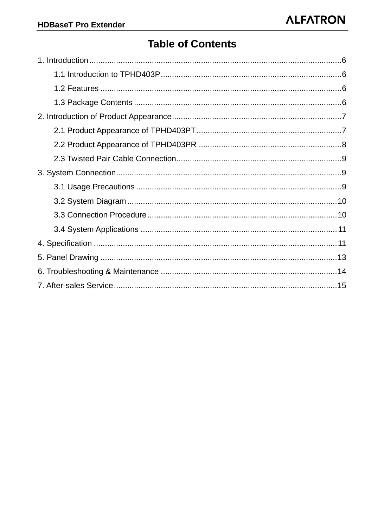## **Table of Contents**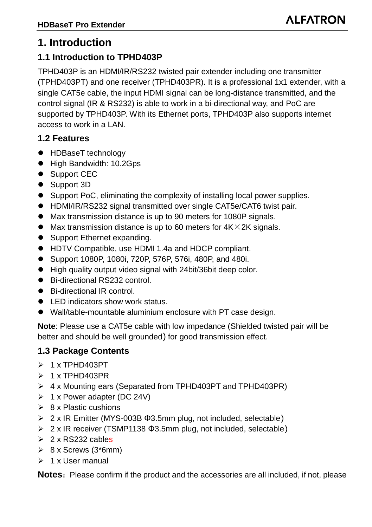### <span id="page-5-0"></span>**1. Introduction**

#### <span id="page-5-1"></span>**1.1 Introduction to TPHD403P**

TPHD403P is an HDMI/IR/RS232 twisted pair extender including one transmitter (TPHD403PT) and one receiver (TPHD403PR). It is a professional 1x1 extender, with a single CAT5e cable, the input HDMI signal can be long-distance transmitted, and the control signal (IR & RS232) is able to work in a bi-directional way, and PoC are supported by TPHD403P. With its Ethernet ports, TPHD403P also supports internet access to work in a LAN.

#### <span id="page-5-2"></span>**1.2 Features**

- HDBaseT technology
- High Bandwidth: 10.2Gps
- Support CEC
- Support 3D
- Support PoC, eliminating the complexity of installing local power supplies.
- HDMI/IR/RS232 signal transmitted over single CAT5e/CAT6 twist pair.
- Max transmission distance is up to 90 meters for 1080P signals.
- $\bullet$  Max transmission distance is up to 60 meters for  $4K \times 2K$  signals.
- **•** Support Ethernet expanding.
- HDTV Compatible, use HDMI 1.4a and HDCP compliant.
- Support 1080P, 1080i, 720P, 576P, 576i, 480P, and 480i.
- High quality output video signal with 24bit/36bit deep color.
- Bi-directional RS232 control.
- Bi-directional IR control.
- LED indicators show work status.
- Wall/table-mountable aluminium enclosure with PT case design.

**Note**: Please use a CAT5e cable with low impedance (Shielded twisted pair will be better and should be well grounded) for good transmission effect.

#### <span id="page-5-3"></span>**1.3 Package Contents**

- ➢ 1 x TPHD403PT
- ➢ 1 x TPHD403PR
- ➢ 4 x Mounting ears (Separated from TPHD403PT and TPHD403PR)
- ➢ 1 x Power adapter (DC 24V)
- $\geq 8$  x Plastic cushions
- ➢ 2 x IR Emitter (MYS-003B Φ3.5mm plug, not included, selectable)
- ➢ 2 x IR receiver (TSMP1138 Φ3.5mm plug, not included, selectable)
- $\geq 2 \times$  RS232 cables
- $\geq 8$  x Screws (3\*6mm)
- ➢ 1 x User manual

**Notes**: Please confirm if the product and the accessories are all included, if not, please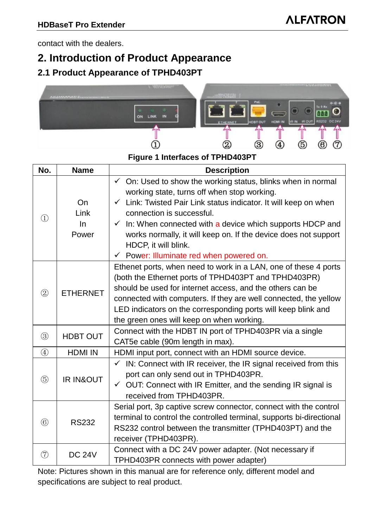contact with the dealers.

## <span id="page-6-0"></span>**2. Introduction of Product Appearance**

#### <span id="page-6-1"></span>**2.1 Product Appearance of TPHD403PT**



#### **Figure 1 Interfaces of TPHD403PT**

| No.                            | Name                       | <b>Description</b>                                                                                                                                                                                                                                                                                                                                                                                                                                 |  |  |
|--------------------------------|----------------------------|----------------------------------------------------------------------------------------------------------------------------------------------------------------------------------------------------------------------------------------------------------------------------------------------------------------------------------------------------------------------------------------------------------------------------------------------------|--|--|
| $\textcircled{\scriptsize{1}}$ | On<br>Link<br>In.<br>Power | $\checkmark$ On: Used to show the working status, blinks when in normal<br>working state, turns off when stop working.<br>$\checkmark$ Link: Twisted Pair Link status indicator. It will keep on when<br>connection is successful.<br>$\checkmark$ In: When connected with a device which supports HDCP and<br>works normally, it will keep on. If the device does not support<br>HDCP, it will blink.<br>← Power: Illuminate red when powered on. |  |  |
| $\circled{2}$                  | <b>ETHERNET</b>            | Ethenet ports, when need to work in a LAN, one of these 4 ports<br>(both the Ethernet ports of TPHD403PT and TPHD403PR)<br>should be used for internet access, and the others can be<br>connected with computers. If they are well connected, the yellow<br>LED indicators on the corresponding ports will keep blink and<br>the green ones will keep on when working.                                                                             |  |  |
| $\circledS$                    | <b>HDBT OUT</b>            | Connect with the HDBT IN port of TPHD403PR via a single<br>CAT5e cable (90m length in max).                                                                                                                                                                                                                                                                                                                                                        |  |  |
| $\circled{4}$                  | <b>HDMI IN</b>             | HDMI input port, connect with an HDMI source device.                                                                                                                                                                                                                                                                                                                                                                                               |  |  |
| (5)                            | <b>IR IN&amp;OUT</b>       | $\checkmark$ IN: Connect with IR receiver, the IR signal received from this<br>port can only send out in TPHD403PR.<br>$\checkmark$ OUT: Connect with IR Emitter, and the sending IR signal is<br>received from TPHD403PR.                                                                                                                                                                                                                         |  |  |
| 6                              | <b>RS232</b>               | Serial port, 3p captive screw connector, connect with the control<br>terminal to control the controlled terminal, supports bi-directional<br>RS232 control between the transmitter (TPHD403PT) and the<br>receiver (TPHD403PR).                                                                                                                                                                                                                    |  |  |
| (7)                            | <b>DC 24V</b>              | Connect with a DC 24V power adapter. (Not necessary if<br>TPHD403PR connects with power adapter)                                                                                                                                                                                                                                                                                                                                                   |  |  |

Note: Pictures shown in this manual are for reference only, different model and specifications are subject to real product.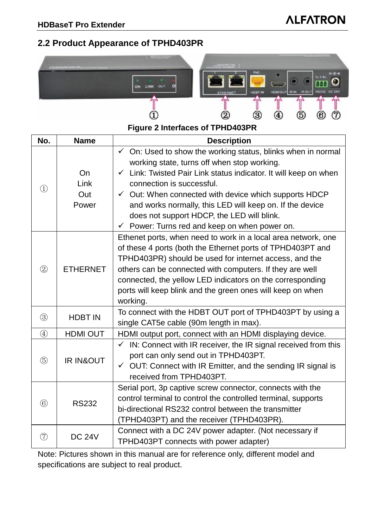#### <span id="page-7-0"></span>**2.2 Product Appearance of TPHD403PR**



#### **Figure 2 Interfaces of TPHD403PR**

| No.               | <b>Name</b>                | <b>Description</b>                                                                                                                                                                                                                                                                                                                                                                                                                                     |  |  |
|-------------------|----------------------------|--------------------------------------------------------------------------------------------------------------------------------------------------------------------------------------------------------------------------------------------------------------------------------------------------------------------------------------------------------------------------------------------------------------------------------------------------------|--|--|
| $\left( 1\right)$ | On<br>Link<br>Out<br>Power | √ On: Used to show the working status, blinks when in normal<br>working state, turns off when stop working.<br>✓ Link: Twisted Pair Link status indicator. It will keep on when<br>connection is successful.<br>$\checkmark$ Out: When connected with device which supports HDCP<br>and works normally, this LED will keep on. If the device<br>does not support HDCP, the LED will blink.<br>$\checkmark$ Power: Turns red and keep on when power on. |  |  |
| (2)               | <b>ETHERNET</b>            | Ethenet ports, when need to work in a local area network, one<br>of these 4 ports (both the Ethernet ports of TPHD403PT and<br>TPHD403PR) should be used for internet access, and the<br>others can be connected with computers. If they are well<br>connected, the yellow LED indicators on the corresponding<br>ports will keep blink and the green ones will keep on when<br>working.                                                               |  |  |
| $\circled{3}$     | HDBT IN                    | To connect with the HDBT OUT port of TPHD403PT by using a<br>single CAT5e cable (90m length in max).                                                                                                                                                                                                                                                                                                                                                   |  |  |
| $\circled{4}$     | <b>HDMI OUT</b>            | HDMI output port, connect with an HDMI displaying device.                                                                                                                                                                                                                                                                                                                                                                                              |  |  |
| ⑤                 | <b>IR IN&amp;OUT</b>       | $\checkmark$ IN: Connect with IR receiver, the IR signal received from this<br>port can only send out in TPHD403PT.<br>$\checkmark$ OUT: Connect with IR Emitter, and the sending IR signal is<br>received from TPHD403PT.                                                                                                                                                                                                                             |  |  |
| (6)               | <b>RS232</b>               | Serial port, 3p captive screw connector, connects with the<br>control terminal to control the controlled terminal, supports<br>bi-directional RS232 control between the transmitter<br>(TPHD403PT) and the receiver (TPHD403PR).                                                                                                                                                                                                                       |  |  |
| (7)               | <b>DC 24V</b>              | Connect with a DC 24V power adapter. (Not necessary if<br>TPHD403PT connects with power adapter)                                                                                                                                                                                                                                                                                                                                                       |  |  |

Note: Pictures shown in this manual are for reference only, different model and specifications are subject to real product.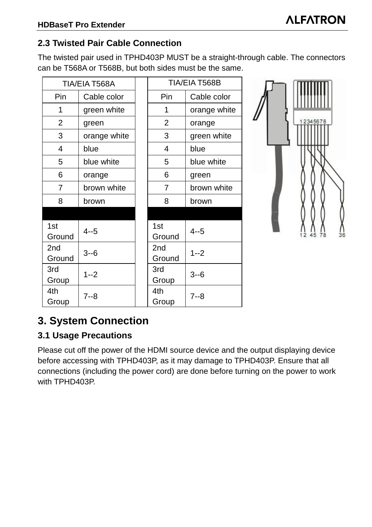#### <span id="page-8-0"></span>**2.3 Twisted Pair Cable Connection**

The twisted pair used in TPHD403P MUST be a straight-through cable. The connectors can be T568A or T568B, but both sides must be the same.

| TIA/EIA T568A  |              | TIA/EIA T568B |              |
|----------------|--------------|---------------|--------------|
| Pin            | Cable color  | Pin           | Cable color  |
| 1              | green white  | 1             | orange white |
| $\overline{2}$ | green        | 2             | orange       |
| 3              | orange white | 3             | green white  |
| 4              | blue         | 4             | blue         |
| 5              | blue white   | 5             | blue white   |
| 6              | orange       | 6             | green        |
| 7              | brown white  | 7             | brown white  |
| 8              | brown        | 8             | brown        |
|                |              |               |              |
| 1st<br>Ground  | $4 - 5$      | 1st<br>Ground | $4 - 5$      |
| 2nd<br>Ground  | $3 - 6$      | 2nd<br>Ground | $1 - 2$      |
| 3rd<br>Group   | $1 - 2$      | 3rd<br>Group  | $3 - 6$      |
| 4th<br>Group   | $7 - 8$      | 4th<br>Group  | $7 - 8$      |



## <span id="page-8-1"></span>**3. System Connection**

#### <span id="page-8-2"></span>**3.1 Usage Precautions**

Please cut off the power of the HDMI source device and the output displaying device before accessing with TPHD403P, as it may damage to TPHD403P. Ensure that all connections (including the power cord) are done before turning on the power to work with TPHD403P.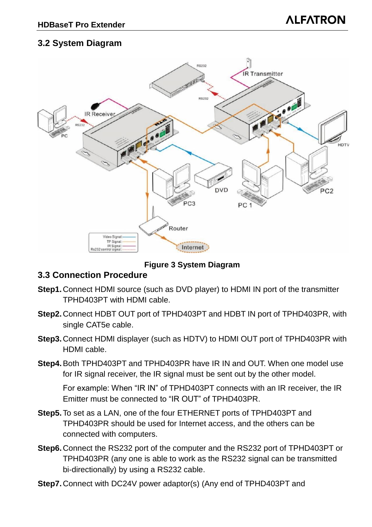#### <span id="page-9-0"></span>**3.2 System Diagram**



#### **Figure 3 System Diagram**

#### <span id="page-9-1"></span>**3.3 Connection Procedure**

- **Step1.**Connect HDMI source (such as DVD player) to HDMI IN port of the transmitter TPHD403PT with HDMI cable.
- **Step2.**Connect HDBT OUT port of TPHD403PT and HDBT IN port of TPHD403PR, with single CAT5e cable.
- **Step3.**Connect HDMI displayer (such as HDTV) to HDMI OUT port of TPHD403PR with HDMI cable.
- **Step4.**Both TPHD403PT and TPHD403PR have IR IN and OUT. When one model use for IR signal receiver, the IR signal must be sent out by the other model.

For example: When "IR IN" of TPHD403PT connects with an IR receiver, the IR Emitter must be connected to "IR OUT" of TPHD403PR.

- **Step5.**To set as a LAN, one of the four ETHERNET ports of TPHD403PT and TPHD403PR should be used for Internet access, and the others can be connected with computers.
- **Step6.**Connect the RS232 port of the computer and the RS232 port of TPHD403PT or TPHD403PR (any one is able to work as the RS232 signal can be transmitted bi-directionally) by using a RS232 cable.
- **Step7.**Connect with DC24V power adaptor(s) (Any end of TPHD403PT and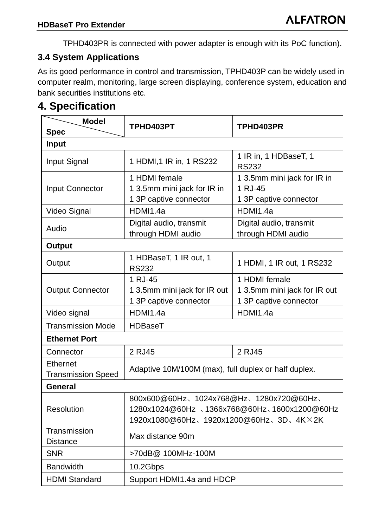TPHD403PR is connected with power adapter is enough with its PoC function).

#### <span id="page-10-0"></span>**3.4 System Applications**

As its good performance in control and transmission, TPHD403P can be widely used in computer realm, monitoring, large screen displaying, conference system, education and bank securities institutions etc.

#### <span id="page-10-1"></span>**4. Specification**

| <b>Model</b><br><b>Spec</b>           | TPHD403PT                                                                                                                         | TPHD403PR                                                               |  |  |
|---------------------------------------|-----------------------------------------------------------------------------------------------------------------------------------|-------------------------------------------------------------------------|--|--|
| Input                                 |                                                                                                                                   |                                                                         |  |  |
| Input Signal                          | 1 HDMI, 1 IR in, 1 RS232                                                                                                          | 1 IR in, 1 HDBaseT, 1<br><b>RS232</b>                                   |  |  |
| Input Connector                       | 1 HDMI female<br>1 3.5mm mini jack for IR in<br>1 3P captive connector                                                            | 1 3.5mm mini jack for IR in<br>1 RJ-45<br>1 3P captive connector        |  |  |
| Video Signal                          | HDMI1.4a                                                                                                                          | HDMI1.4a                                                                |  |  |
| Audio                                 | Digital audio, transmit<br>through HDMI audio                                                                                     | Digital audio, transmit<br>through HDMI audio                           |  |  |
| <b>Output</b>                         |                                                                                                                                   |                                                                         |  |  |
| Output                                | 1 HDBaseT, 1 IR out, 1<br><b>RS232</b>                                                                                            | 1 HDMI, 1 IR out, 1 RS232                                               |  |  |
| <b>Output Connector</b>               | 1 RJ-45<br>1 3.5mm mini jack for IR out<br>1 3P captive connector                                                                 | 1 HDMI female<br>1 3.5mm mini jack for IR out<br>1 3P captive connector |  |  |
| Video signal                          | HDMI1.4a                                                                                                                          | HDMI1.4a                                                                |  |  |
| <b>Transmission Mode</b>              | HDBaseT                                                                                                                           |                                                                         |  |  |
| <b>Ethernet Port</b>                  |                                                                                                                                   |                                                                         |  |  |
| Connector                             | 2 RJ45                                                                                                                            | 2 RJ45                                                                  |  |  |
| Ethernet<br><b>Transmission Speed</b> | Adaptive 10M/100M (max), full duplex or half duplex.                                                                              |                                                                         |  |  |
| General                               |                                                                                                                                   |                                                                         |  |  |
| Resolution                            | 800x600@60Hz、1024x768@Hz、1280x720@60Hz、<br>1280x1024@60Hz 、1366x768@60Hz、1600x1200@60Hz<br>1920x1080@60Hz、1920x1200@60Hz、3D、4K×2K |                                                                         |  |  |
| Transmission<br><b>Distance</b>       | Max distance 90m                                                                                                                  |                                                                         |  |  |
| <b>SNR</b>                            | >70dB@ 100MHz-100M                                                                                                                |                                                                         |  |  |
| <b>Bandwidth</b>                      | 10.2Gbps                                                                                                                          |                                                                         |  |  |
| <b>HDMI Standard</b>                  | Support HDMI1.4a and HDCP                                                                                                         |                                                                         |  |  |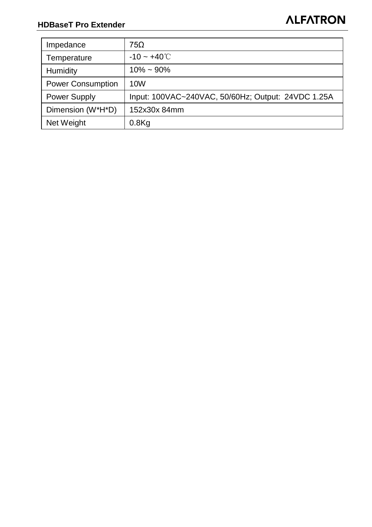| Impedance                | 75Ω                                                |
|--------------------------|----------------------------------------------------|
| Temperature              | $-10 - +40^{\circ}$ C                              |
| Humidity                 | $10\% \sim 90\%$                                   |
| <b>Power Consumption</b> | 10W                                                |
| Power Supply             | Input: 100VAC~240VAC, 50/60Hz; Output: 24VDC 1.25A |
| Dimension (W*H*D)        | 152x30x 84mm                                       |
| Net Weight               | $0.8$ Kg                                           |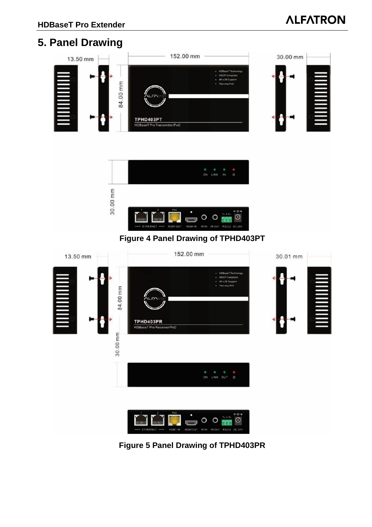## <span id="page-12-0"></span>**5. Panel Drawing**





**Figure 4 Panel Drawing of TPHD403PT**



**Figure 5 Panel Drawing of TPHD403PR**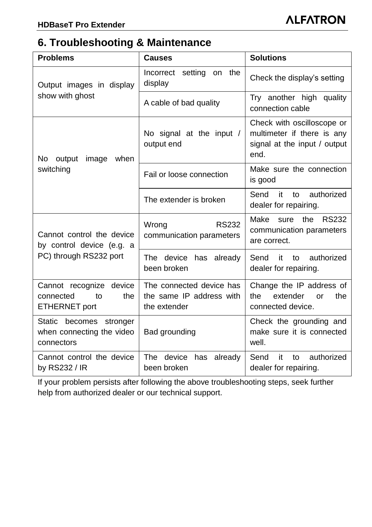## <span id="page-13-0"></span>**6. Troubleshooting & Maintenance**

| <b>Problems</b>                                                    | <b>Causes</b>                                                        | <b>Solutions</b>                                                                                 |
|--------------------------------------------------------------------|----------------------------------------------------------------------|--------------------------------------------------------------------------------------------------|
| Output images in display                                           | the<br>Incorrect<br>setting<br><b>on</b><br>display                  | Check the display's setting                                                                      |
| show with ghost                                                    | A cable of bad quality                                               | Try another high quality<br>connection cable                                                     |
| No output<br>image<br>when                                         | No signal at the input /<br>output end                               | Check with oscilloscope or<br>multimeter if there is any<br>signal at the input / output<br>end. |
| switching                                                          | Fail or loose connection                                             | Make sure the connection<br>is good                                                              |
|                                                                    | The extender is broken                                               | Send<br>it<br>authorized<br>to<br>dealer for repairing.                                          |
| Cannot control the device<br>by control device (e.g. a             | <b>RS232</b><br>Wrong<br>communication parameters                    | Make<br><b>RS232</b><br>the<br>sure<br>communication parameters<br>are correct.                  |
| PC) through RS232 port                                             | The device has<br>already<br>been broken                             | Send<br>it<br>authorized<br>to<br>dealer for repairing.                                          |
| Cannot recognize device<br>connected<br>the<br>to<br>ETHERNET port | The connected device has<br>the same IP address with<br>the extender | Change the IP address of<br>extender<br>the<br>the<br>or<br>connected device.                    |
| Static becomes stronger<br>when connecting the video<br>connectors | Bad grounding                                                        | Check the grounding and<br>make sure it is connected<br>well.                                    |
| Cannot control the device<br>by RS232 / IR                         | The device<br>has<br>already<br>been broken                          | authorized<br>Send<br>it<br>to<br>dealer for repairing.                                          |

If your problem persists after following the above troubleshooting steps, seek further help from authorized dealer or our technical support.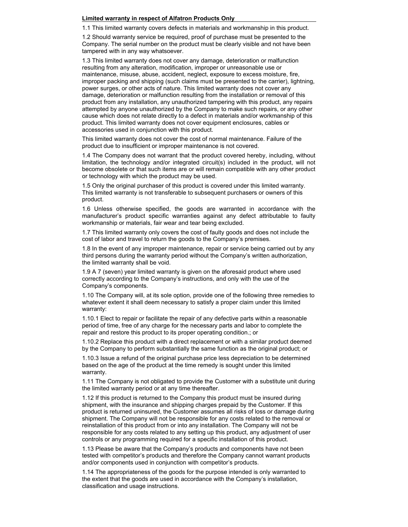#### **Limited warranty in respect of Alfatron Products Only**

1.1 This limited warranty covers defects in materials and workmanship in this product.

1.2 Should warranty service be required, proof of purchase must be presented to the Company. The serial number on the product must be clearly visible and not have been tampered with in any way whatsoever.

1.3 This limited warranty does not cover any damage, deterioration or malfunction resulting from any alteration, modification, improper or unreasonable use or maintenance, misuse, abuse, accident, neglect, exposure to excess moisture, fire, improper packing and shipping (such claims must be presented to the carrier), lightning, power surges, or other acts of nature. This limited warranty does not cover any damage, deterioration or malfunction resulting from the installation or removal of this product from any installation, any unauthorized tampering with this product, any repairs attempted by anyone unauthorized by the Company to make such repairs, or any other cause which does not relate directly to a defect in materials and/or workmanship of this product. This limited warranty does not cover equipment enclosures, cables or accessories used in conjunction with this product.

This limited warranty does not cover the cost of normal maintenance. Failure of the product due to insufficient or improper maintenance is not covered.

1.4 The Company does not warrant that the product covered hereby, including, without limitation, the technology and/or integrated circuit(s) included in the product, will not become obsolete or that such items are or will remain compatible with any other product or technology with which the product may be used.

1.5 Only the original purchaser of this product is covered under this limited warranty. This limited warranty is not transferable to subsequent purchasers or owners of this product.

1.6 Unless otherwise specified, the goods are warranted in accordance with the manufacturer's product specific warranties against any defect attributable to faulty workmanship or materials, fair wear and tear being excluded.

1.7 This limited warranty only covers the cost of faulty goods and does not include the cost of labor and travel to return the goods to the Company's premises.

1.8 In the event of any improper maintenance, repair or service being carried out by any third persons during the warranty period without the Company's written authorization, the limited warranty shall be void.

1.9 A 7 (seven) year limited warranty is given on the aforesaid product where used correctly according to the Company's instructions, and only with the use of the Company's components.

1.10 The Company will, at its sole option, provide one of the following three remedies to whatever extent it shall deem necessary to satisfy a proper claim under this limited warranty:

1.10.1 Elect to repair or facilitate the repair of any defective parts within a reasonable period of time, free of any charge for the necessary parts and labor to complete the repair and restore this product to its proper operating condition.; or

1.10.2 Replace this product with a direct replacement or with a similar product deemed by the Company to perform substantially the same function as the original product; or

1.10.3 Issue a refund of the original purchase price less depreciation to be determined based on the age of the product at the time remedy is sought under this limited warranty.

1.11 The Company is not obligated to provide the Customer with a substitute unit during the limited warranty period or at any time thereafter.

1.12 If this product is returned to the Company this product must be insured during shipment, with the insurance and shipping charges prepaid by the Customer. If this product is returned uninsured, the Customer assumes all risks of loss or damage during shipment. The Company will not be responsible for any costs related to the removal or reinstallation of this product from or into any installation. The Company will not be responsible for any costs related to any setting up this product, any adjustment of user controls or any programming required for a specific installation of this product.

1.13 Please be aware that the Company's products and components have not been tested with competitor's products and therefore the Company cannot warrant products and/or components used in conjunction with competitor's products.

1.14 The appropriateness of the goods for the purpose intended is only warranted to the extent that the goods are used in accordance with the Company's installation, classification and usage instructions.